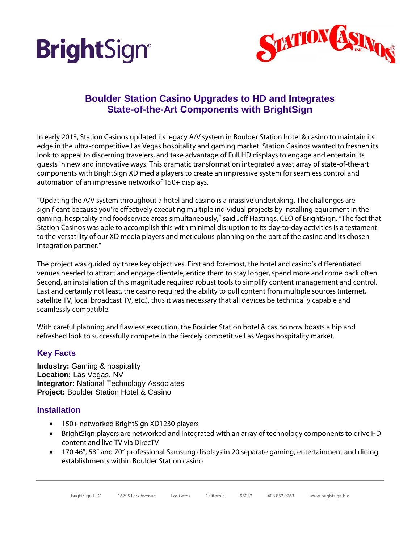



# **Boulder Station Casino Upgrades to HD and Integrates State-of-the-Art Components with BrightSign**

In early 2013, Station Casinos updated its legacy A/V system in Boulder Station hotel & casino to maintain its edge in the ultra-competitive Las Vegas hospitality and gaming market. Station Casinos wanted to freshen its look to appeal to discerning travelers, and take advantage of Full HD displays to engage and entertain its guests in new and innovative ways. This dramatic transformation integrated a vast array of state-of-the-art components with BrightSign XD media players to create an impressive system for seamless control and automation of an impressive network of 150+ displays.

"Updating the A/V system throughout a hotel and casino is a massive undertaking. The challenges are significant because you're effectively executing multiple individual projects by installing equipment in the gaming, hospitality and foodservice areas simultaneously," said Jeff Hastings, CEO of BrightSign. "The fact that Station Casinos was able to accomplish this with minimal disruption to its day-to-day activities is a testament to the versatility of our XD media players and meticulous planning on the part of the casino and its chosen integration partner."

The project was guided by three key objectives. First and foremost, the hotel and casino's differentiated venues needed to attract and engage clientele, entice them to stay longer, spend more and come back often. Second, an installation of this magnitude required robust tools to simplify content management and control. Last and certainly not least, the casino required the ability to pull content from multiple sources (internet, satellite TV, local broadcast TV, etc.), thus it was necessary that all devices be technically capable and seamlessly compatible.

With careful planning and flawless execution, the Boulder Station hotel & casino now boasts a hip and refreshed look to successfully compete in the fiercely competitive Las Vegas hospitality market.

### **Key Facts**

**Industry:** Gaming & hospitality **Location:** Las Vegas, NV **Integrator:** National Technology Associates **Project:** Boulder Station Hotel & Casino

### **Installation**

- 150+ networked BrightSign XD1230 players
- BrightSign players are networked and integrated with an array of technology components to drive HD content and live TV via DirecTV
- 170 46", 58" and 70" professional Samsung displays in 20 separate gaming, entertainment and dining establishments within Boulder Station casino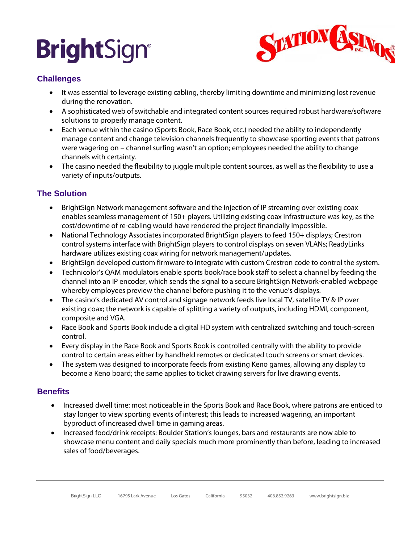# **BrightSign®**



### **Challenges**

- It was essential to leverage existing cabling, thereby limiting downtime and minimizing lost revenue during the renovation.
- A sophisticated web of switchable and integrated content sources required robust hardware/software solutions to properly manage content.
- Each venue within the casino (Sports Book, Race Book, etc.) needed the ability to independently manage content and change television channels frequently to showcase sporting events that patrons were wagering on – channel surfing wasn't an option; employees needed the ability to change channels with certainty.
- The casino needed the flexibility to juggle multiple content sources, as well as the flexibility to use a variety of inputs/outputs.

## **The Solution**

- BrightSign Network management software and the injection of IP streaming over existing coax enables seamless management of 150+ players. Utilizing existing coax infrastructure was key, as the cost/downtime of re-cabling would have rendered the project financially impossible.
- National Technology Associates incorporated BrightSign players to feed 150+ displays; Crestron control systems interface with BrightSign players to control displays on seven VLANs; ReadyLinks hardware utilizes existing coax wiring for network management/updates.
- BrightSign developed custom firmware to integrate with custom Crestron code to control the system.
- Technicolor's QAM modulators enable sports book/race book staff to select a channel by feeding the channel into an IP encoder, which sends the signal to a secure BrightSign Network-enabled webpage whereby employees preview the channel before pushing it to the venue's displays.
- The casino's dedicated AV control and signage network feeds live local TV, satellite TV & IP over existing coax; the network is capable of splitting a variety of outputs, including HDMI, component, composite and VGA.
- Race Book and Sports Book include a digital HD system with centralized switching and touch-screen control.
- Every display in the Race Book and Sports Book is controlled centrally with the ability to provide control to certain areas either by handheld remotes or dedicated touch screens or smart devices.
- The system was designed to incorporate feeds from existing Keno games, allowing any display to become a Keno board; the same applies to ticket drawing servers for live drawing events.

### **Benefits**

- Increased dwell time: most noticeable in the Sports Book and Race Book, where patrons are enticed to stay longer to view sporting events of interest; this leads to increased wagering, an important byproduct of increased dwell time in gaming areas.
- Increased food/drink receipts: Boulder Station's lounges, bars and restaurants are now able to showcase menu content and daily specials much more prominently than before, leading to increased sales of food/beverages.